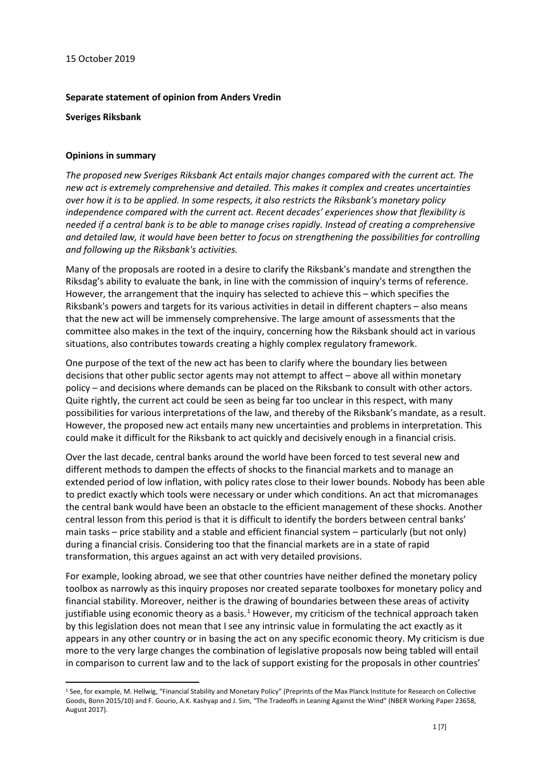#### **Separate statement of opinion from Anders Vredin**

**Sveriges Riksbank**

### **Opinions in summary**

*The proposed new Sveriges Riksbank Act entails major changes compared with the current act. The new act is extremely comprehensive and detailed. This makes it complex and creates uncertainties over how it is to be applied. In some respects, it also restricts the Riksbank's monetary policy independence compared with the current act. Recent decades' experiences show that flexibility is needed if a central bank is to be able to manage crises rapidly. Instead of creating a comprehensive and detailed law, it would have been better to focus on strengthening the possibilities for controlling and following up the Riksbank's activities.*

Many of the proposals are rooted in a desire to clarify the Riksbank's mandate and strengthen the Riksdag's ability to evaluate the bank, in line with the commission of inquiry's terms of reference. However, the arrangement that the inquiry has selected to achieve this – which specifies the Riksbank's powers and targets for its various activities in detail in different chapters – also means that the new act will be immensely comprehensive. The large amount of assessments that the committee also makes in the text of the inquiry, concerning how the Riksbank should act in various situations, also contributes towards creating a highly complex regulatory framework.

One purpose of the text of the new act has been to clarify where the boundary lies between decisions that other public sector agents may not attempt to affect – above all within monetary policy – and decisions where demands can be placed on the Riksbank to consult with other actors. Quite rightly, the current act could be seen as being far too unclear in this respect, with many possibilities for various interpretations of the law, and thereby of the Riksbank's mandate, as a result. However, the proposed new act entails many new uncertainties and problems in interpretation. This could make it difficult for the Riksbank to act quickly and decisively enough in a financial crisis.

Over the last decade, central banks around the world have been forced to test several new and different methods to dampen the effects of shocks to the financial markets and to manage an extended period of low inflation, with policy rates close to their lower bounds. Nobody has been able to predict exactly which tools were necessary or under which conditions. An act that micromanages the central bank would have been an obstacle to the efficient management of these shocks. Another central lesson from this period is that it is difficult to identify the borders between central banks' main tasks – price stability and a stable and efficient financial system – particularly (but not only) during a financial crisis. Considering too that the financial markets are in a state of rapid transformation, this argues against an act with very detailed provisions.

For example, looking abroad, we see that other countries have neither defined the monetary policy toolbox as narrowly as this inquiry proposes nor created separate toolboxes for monetary policy and financial stability. Moreover, neither is the drawing of boundaries between these areas of activity justifiable using economic theory as a basis.<sup>[1](#page-0-0)</sup> However, my criticism of the technical approach taken by this legislation does not mean that I see any intrinsic value in formulating the act exactly as it appears in any other country or in basing the act on any specific economic theory. My criticism is due more to the very large changes the combination of legislative proposals now being tabled will entail in comparison to current law and to the lack of support existing for the proposals in other countries'

<span id="page-0-0"></span><sup>&</sup>lt;sup>1</sup> See, for example, M. Hellwig, "Financial Stability and Monetary Policy" (Preprints of the Max Planck Institute for Research on Collective Goods, Bonn 2015/10) and F. Gourio, A.K. Kashyap and J. Sim, "The Tradeoffs in Leaning Against the Wind" (NBER Working Paper 23658, August 2017).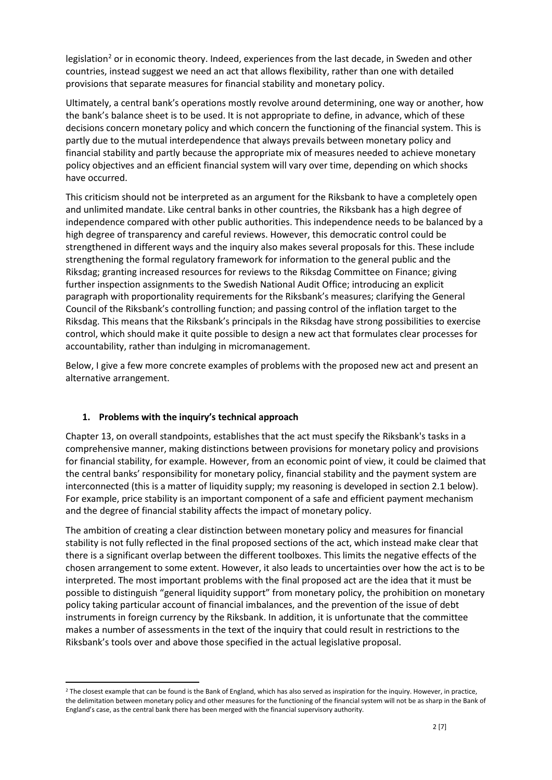legislation<sup>[2](#page-1-0)</sup> or in economic theory. Indeed, experiences from the last decade, in Sweden and other countries, instead suggest we need an act that allows flexibility, rather than one with detailed provisions that separate measures for financial stability and monetary policy.

Ultimately, a central bank's operations mostly revolve around determining, one way or another, how the bank's balance sheet is to be used. It is not appropriate to define, in advance, which of these decisions concern monetary policy and which concern the functioning of the financial system. This is partly due to the mutual interdependence that always prevails between monetary policy and financial stability and partly because the appropriate mix of measures needed to achieve monetary policy objectives and an efficient financial system will vary over time, depending on which shocks have occurred.

This criticism should not be interpreted as an argument for the Riksbank to have a completely open and unlimited mandate. Like central banks in other countries, the Riksbank has a high degree of independence compared with other public authorities. This independence needs to be balanced by a high degree of transparency and careful reviews. However, this democratic control could be strengthened in different ways and the inquiry also makes several proposals for this. These include strengthening the formal regulatory framework for information to the general public and the Riksdag; granting increased resources for reviews to the Riksdag Committee on Finance; giving further inspection assignments to the Swedish National Audit Office; introducing an explicit paragraph with proportionality requirements for the Riksbank's measures; clarifying the General Council of the Riksbank's controlling function; and passing control of the inflation target to the Riksdag. This means that the Riksbank's principals in the Riksdag have strong possibilities to exercise control, which should make it quite possible to design a new act that formulates clear processes for accountability, rather than indulging in micromanagement.

Below, I give a few more concrete examples of problems with the proposed new act and present an alternative arrangement.

# **1. Problems with the inquiry's technical approach**

Chapter 13, on overall standpoints, establishes that the act must specify the Riksbank's tasks in a comprehensive manner, making distinctions between provisions for monetary policy and provisions for financial stability, for example. However, from an economic point of view, it could be claimed that the central banks' responsibility for monetary policy, financial stability and the payment system are interconnected (this is a matter of liquidity supply; my reasoning is developed in section 2.1 below). For example, price stability is an important component of a safe and efficient payment mechanism and the degree of financial stability affects the impact of monetary policy.

The ambition of creating a clear distinction between monetary policy and measures for financial stability is not fully reflected in the final proposed sections of the act, which instead make clear that there is a significant overlap between the different toolboxes. This limits the negative effects of the chosen arrangement to some extent. However, it also leads to uncertainties over how the act is to be interpreted. The most important problems with the final proposed act are the idea that it must be possible to distinguish "general liquidity support" from monetary policy, the prohibition on monetary policy taking particular account of financial imbalances, and the prevention of the issue of debt instruments in foreign currency by the Riksbank. In addition, it is unfortunate that the committee makes a number of assessments in the text of the inquiry that could result in restrictions to the Riksbank's tools over and above those specified in the actual legislative proposal.

<span id="page-1-0"></span> $2$  The closest example that can be found is the Bank of England, which has also served as inspiration for the inquiry. However, in practice, the delimitation between monetary policy and other measures for the functioning of the financial system will not be as sharp in the Bank of England's case, as the central bank there has been merged with the financial supervisory authority.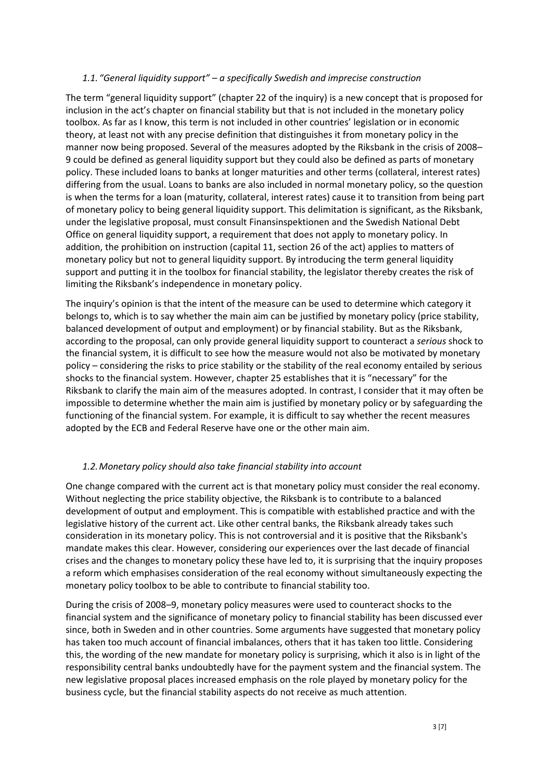#### *1.1. "General liquidity support" – a specifically Swedish and imprecise construction*

The term "general liquidity support" (chapter 22 of the inquiry) is a new concept that is proposed for inclusion in the act's chapter on financial stability but that is not included in the monetary policy toolbox. As far as I know, this term is not included in other countries' legislation or in economic theory, at least not with any precise definition that distinguishes it from monetary policy in the manner now being proposed. Several of the measures adopted by the Riksbank in the crisis of 2008– 9 could be defined as general liquidity support but they could also be defined as parts of monetary policy. These included loans to banks at longer maturities and other terms (collateral, interest rates) differing from the usual. Loans to banks are also included in normal monetary policy, so the question is when the terms for a loan (maturity, collateral, interest rates) cause it to transition from being part of monetary policy to being general liquidity support. This delimitation is significant, as the Riksbank, under the legislative proposal, must consult Finansinspektionen and the Swedish National Debt Office on general liquidity support, a requirement that does not apply to monetary policy. In addition, the prohibition on instruction (capital 11, section 26 of the act) applies to matters of monetary policy but not to general liquidity support. By introducing the term general liquidity support and putting it in the toolbox for financial stability, the legislator thereby creates the risk of limiting the Riksbank's independence in monetary policy.

The inquiry's opinion is that the intent of the measure can be used to determine which category it belongs to, which is to say whether the main aim can be justified by monetary policy (price stability, balanced development of output and employment) or by financial stability. But as the Riksbank, according to the proposal, can only provide general liquidity support to counteract a *serious* shock to the financial system, it is difficult to see how the measure would not also be motivated by monetary policy – considering the risks to price stability or the stability of the real economy entailed by serious shocks to the financial system. However, chapter 25 establishes that it is "necessary" for the Riksbank to clarify the main aim of the measures adopted. In contrast, I consider that it may often be impossible to determine whether the main aim is justified by monetary policy or by safeguarding the functioning of the financial system. For example, it is difficult to say whether the recent measures adopted by the ECB and Federal Reserve have one or the other main aim.

# *1.2.Monetary policy should also take financial stability into account*

One change compared with the current act is that monetary policy must consider the real economy. Without neglecting the price stability objective, the Riksbank is to contribute to a balanced development of output and employment. This is compatible with established practice and with the legislative history of the current act. Like other central banks, the Riksbank already takes such consideration in its monetary policy. This is not controversial and it is positive that the Riksbank's mandate makes this clear. However, considering our experiences over the last decade of financial crises and the changes to monetary policy these have led to, it is surprising that the inquiry proposes a reform which emphasises consideration of the real economy without simultaneously expecting the monetary policy toolbox to be able to contribute to financial stability too.

During the crisis of 2008–9, monetary policy measures were used to counteract shocks to the financial system and the significance of monetary policy to financial stability has been discussed ever since, both in Sweden and in other countries. Some arguments have suggested that monetary policy has taken too much account of financial imbalances, others that it has taken too little. Considering this, the wording of the new mandate for monetary policy is surprising, which it also is in light of the responsibility central banks undoubtedly have for the payment system and the financial system. The new legislative proposal places increased emphasis on the role played by monetary policy for the business cycle, but the financial stability aspects do not receive as much attention.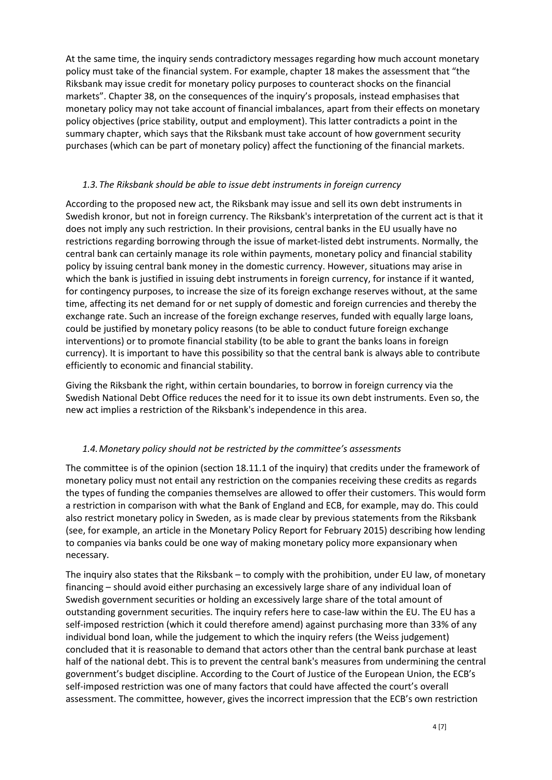At the same time, the inquiry sends contradictory messages regarding how much account monetary policy must take of the financial system. For example, chapter 18 makes the assessment that "the Riksbank may issue credit for monetary policy purposes to counteract shocks on the financial markets". Chapter 38, on the consequences of the inquiry's proposals, instead emphasises that monetary policy may not take account of financial imbalances, apart from their effects on monetary policy objectives (price stability, output and employment). This latter contradicts a point in the summary chapter, which says that the Riksbank must take account of how government security purchases (which can be part of monetary policy) affect the functioning of the financial markets.

## *1.3.The Riksbank should be able to issue debt instruments in foreign currency*

According to the proposed new act, the Riksbank may issue and sell its own debt instruments in Swedish kronor, but not in foreign currency. The Riksbank's interpretation of the current act is that it does not imply any such restriction. In their provisions, central banks in the EU usually have no restrictions regarding borrowing through the issue of market-listed debt instruments. Normally, the central bank can certainly manage its role within payments, monetary policy and financial stability policy by issuing central bank money in the domestic currency. However, situations may arise in which the bank is justified in issuing debt instruments in foreign currency, for instance if it wanted, for contingency purposes, to increase the size of its foreign exchange reserves without, at the same time, affecting its net demand for or net supply of domestic and foreign currencies and thereby the exchange rate. Such an increase of the foreign exchange reserves, funded with equally large loans, could be justified by monetary policy reasons (to be able to conduct future foreign exchange interventions) or to promote financial stability (to be able to grant the banks loans in foreign currency). It is important to have this possibility so that the central bank is always able to contribute efficiently to economic and financial stability.

Giving the Riksbank the right, within certain boundaries, to borrow in foreign currency via the Swedish National Debt Office reduces the need for it to issue its own debt instruments. Even so, the new act implies a restriction of the Riksbank's independence in this area.

# *1.4.Monetary policy should not be restricted by the committee's assessments*

The committee is of the opinion (section 18.11.1 of the inquiry) that credits under the framework of monetary policy must not entail any restriction on the companies receiving these credits as regards the types of funding the companies themselves are allowed to offer their customers. This would form a restriction in comparison with what the Bank of England and ECB, for example, may do. This could also restrict monetary policy in Sweden, as is made clear by previous statements from the Riksbank (see, for example, an article in the Monetary Policy Report for February 2015) describing how lending to companies via banks could be one way of making monetary policy more expansionary when necessary.

The inquiry also states that the Riksbank – to comply with the prohibition, under EU law, of monetary financing – should avoid either purchasing an excessively large share of any individual loan of Swedish government securities or holding an excessively large share of the total amount of outstanding government securities. The inquiry refers here to case-law within the EU. The EU has a self-imposed restriction (which it could therefore amend) against purchasing more than 33% of any individual bond loan, while the judgement to which the inquiry refers (the Weiss judgement) concluded that it is reasonable to demand that actors other than the central bank purchase at least half of the national debt. This is to prevent the central bank's measures from undermining the central government's budget discipline. According to the Court of Justice of the European Union, the ECB's self-imposed restriction was one of many factors that could have affected the court's overall assessment. The committee, however, gives the incorrect impression that the ECB's own restriction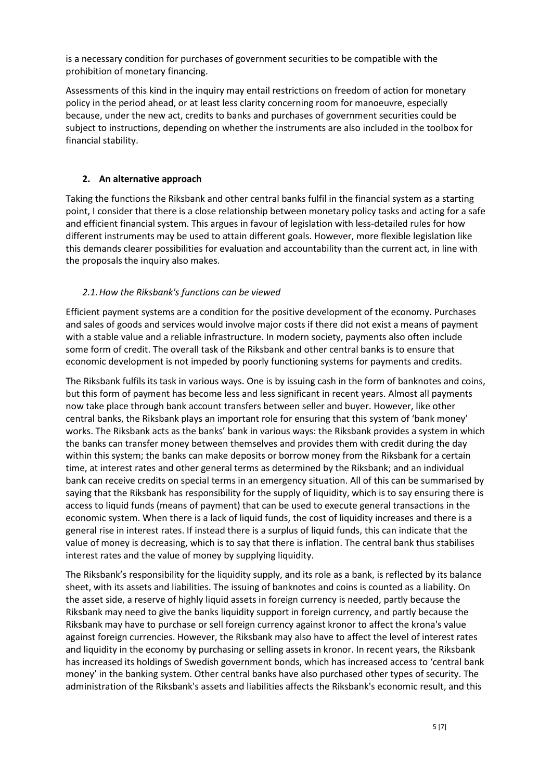is a necessary condition for purchases of government securities to be compatible with the prohibition of monetary financing.

Assessments of this kind in the inquiry may entail restrictions on freedom of action for monetary policy in the period ahead, or at least less clarity concerning room for manoeuvre, especially because, under the new act, credits to banks and purchases of government securities could be subject to instructions, depending on whether the instruments are also included in the toolbox for financial stability.

# **2. An alternative approach**

Taking the functions the Riksbank and other central banks fulfil in the financial system as a starting point, I consider that there is a close relationship between monetary policy tasks and acting for a safe and efficient financial system. This argues in favour of legislation with less-detailed rules for how different instruments may be used to attain different goals. However, more flexible legislation like this demands clearer possibilities for evaluation and accountability than the current act, in line with the proposals the inquiry also makes.

# *2.1.How the Riksbank's functions can be viewed*

Efficient payment systems are a condition for the positive development of the economy. Purchases and sales of goods and services would involve major costs if there did not exist a means of payment with a stable value and a reliable infrastructure. In modern society, payments also often include some form of credit. The overall task of the Riksbank and other central banks is to ensure that economic development is not impeded by poorly functioning systems for payments and credits.

The Riksbank fulfils its task in various ways. One is by issuing cash in the form of banknotes and coins, but this form of payment has become less and less significant in recent years. Almost all payments now take place through bank account transfers between seller and buyer. However, like other central banks, the Riksbank plays an important role for ensuring that this system of 'bank money' works. The Riksbank acts as the banks' bank in various ways: the Riksbank provides a system in which the banks can transfer money between themselves and provides them with credit during the day within this system; the banks can make deposits or borrow money from the Riksbank for a certain time, at interest rates and other general terms as determined by the Riksbank; and an individual bank can receive credits on special terms in an emergency situation. All of this can be summarised by saying that the Riksbank has responsibility for the supply of liquidity, which is to say ensuring there is access to liquid funds (means of payment) that can be used to execute general transactions in the economic system. When there is a lack of liquid funds, the cost of liquidity increases and there is a general rise in interest rates. If instead there is a surplus of liquid funds, this can indicate that the value of money is decreasing, which is to say that there is inflation. The central bank thus stabilises interest rates and the value of money by supplying liquidity.

The Riksbank's responsibility for the liquidity supply, and its role as a bank, is reflected by its balance sheet, with its assets and liabilities. The issuing of banknotes and coins is counted as a liability. On the asset side, a reserve of highly liquid assets in foreign currency is needed, partly because the Riksbank may need to give the banks liquidity support in foreign currency, and partly because the Riksbank may have to purchase or sell foreign currency against kronor to affect the krona's value against foreign currencies. However, the Riksbank may also have to affect the level of interest rates and liquidity in the economy by purchasing or selling assets in kronor. In recent years, the Riksbank has increased its holdings of Swedish government bonds, which has increased access to 'central bank money' in the banking system. Other central banks have also purchased other types of security. The administration of the Riksbank's assets and liabilities affects the Riksbank's economic result, and this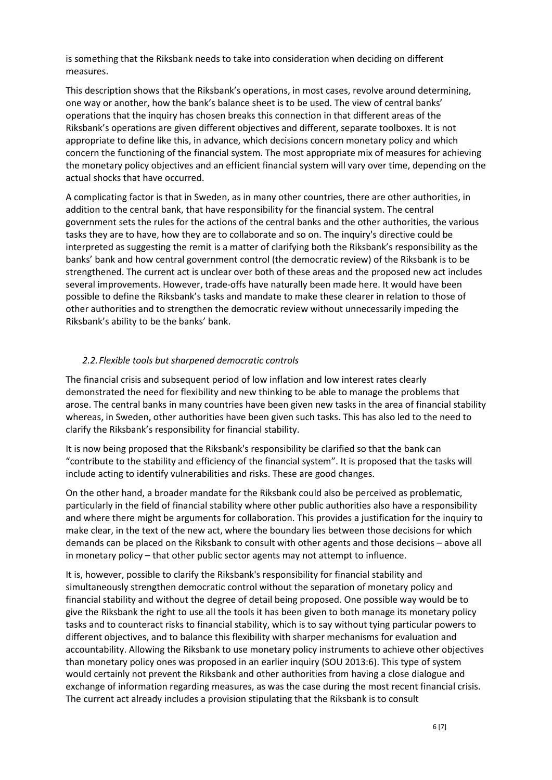is something that the Riksbank needs to take into consideration when deciding on different measures.

This description shows that the Riksbank's operations, in most cases, revolve around determining, one way or another, how the bank's balance sheet is to be used. The view of central banks' operations that the inquiry has chosen breaks this connection in that different areas of the Riksbank's operations are given different objectives and different, separate toolboxes. It is not appropriate to define like this, in advance, which decisions concern monetary policy and which concern the functioning of the financial system. The most appropriate mix of measures for achieving the monetary policy objectives and an efficient financial system will vary over time, depending on the actual shocks that have occurred.

A complicating factor is that in Sweden, as in many other countries, there are other authorities, in addition to the central bank, that have responsibility for the financial system. The central government sets the rules for the actions of the central banks and the other authorities, the various tasks they are to have, how they are to collaborate and so on. The inquiry's directive could be interpreted as suggesting the remit is a matter of clarifying both the Riksbank's responsibility as the banks' bank and how central government control (the democratic review) of the Riksbank is to be strengthened. The current act is unclear over both of these areas and the proposed new act includes several improvements. However, trade-offs have naturally been made here. It would have been possible to define the Riksbank's tasks and mandate to make these clearer in relation to those of other authorities and to strengthen the democratic review without unnecessarily impeding the Riksbank's ability to be the banks' bank.

### *2.2.Flexible tools but sharpened democratic controls*

The financial crisis and subsequent period of low inflation and low interest rates clearly demonstrated the need for flexibility and new thinking to be able to manage the problems that arose. The central banks in many countries have been given new tasks in the area of financial stability whereas, in Sweden, other authorities have been given such tasks. This has also led to the need to clarify the Riksbank's responsibility for financial stability.

It is now being proposed that the Riksbank's responsibility be clarified so that the bank can "contribute to the stability and efficiency of the financial system". It is proposed that the tasks will include acting to identify vulnerabilities and risks. These are good changes.

On the other hand, a broader mandate for the Riksbank could also be perceived as problematic, particularly in the field of financial stability where other public authorities also have a responsibility and where there might be arguments for collaboration. This provides a justification for the inquiry to make clear, in the text of the new act, where the boundary lies between those decisions for which demands can be placed on the Riksbank to consult with other agents and those decisions – above all in monetary policy – that other public sector agents may not attempt to influence.

It is, however, possible to clarify the Riksbank's responsibility for financial stability and simultaneously strengthen democratic control without the separation of monetary policy and financial stability and without the degree of detail being proposed. One possible way would be to give the Riksbank the right to use all the tools it has been given to both manage its monetary policy tasks and to counteract risks to financial stability, which is to say without tying particular powers to different objectives, and to balance this flexibility with sharper mechanisms for evaluation and accountability. Allowing the Riksbank to use monetary policy instruments to achieve other objectives than monetary policy ones was proposed in an earlier inquiry (SOU 2013:6). This type of system would certainly not prevent the Riksbank and other authorities from having a close dialogue and exchange of information regarding measures, as was the case during the most recent financial crisis. The current act already includes a provision stipulating that the Riksbank is to consult